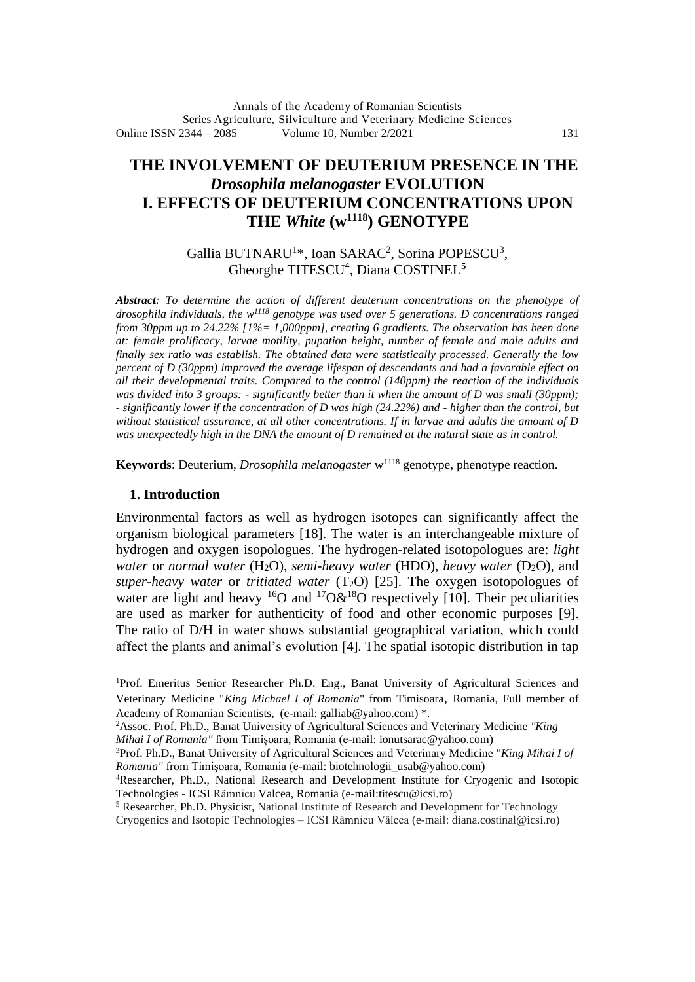# **THE INVOLVEMENT OF DEUTERIUM PRESENCE IN THE** *Drosophila melanogaster* **EVOLUTION I. EFFECTS OF DEUTERIUM CONCENTRATIONS UPON THE** *White* **(w<sup>1118</sup>) GENOTYPE**

## Gallia BUTNARU<sup>1\*</sup>, Ioan SARAC<sup>2</sup>, Sorina POPESCU<sup>3</sup>, Gheorghe TITESCU<sup>4</sup> , Diana COSTINEL**<sup>5</sup>**

*Abstract: To determine the action of different deuterium concentrations on the phenotype of drosophila individuals, the w<sup>1118</sup> genotype was used over 5 generations. D concentrations ranged from 30ppm up to 24.22% [1%= 1,000ppm], creating 6 gradients. The observation has been done at: female prolificacy, larvae motility, pupation height, number of female and male adults and finally sex ratio was establish. The obtained data were statistically processed. Generally the low percent of D (30ppm) improved the average lifespan of descendants and had a favorable effect on all their developmental traits. Compared to the control (140ppm) the reaction of the individuals was divided into 3 groups: - significantly better than it when the amount of D was small (30ppm); - significantly lower if the concentration of D was high (24.22%) and - higher than the control, but without statistical assurance, at all other concentrations. If in larvae and adults the amount of D*  was unexpectedly high in the DNA the amount of D remained at the natural state as in control.

**Keywords**: Deuterium, *Drosophila melanogaster* w<sup>1118</sup> genotype, phenotype reaction.

#### **1. Introduction**

Environmental factors as well as hydrogen isotopes can significantly affect the organism biological parameters [18]. The water is an interchangeable mixture of hydrogen and oxygen isopologues. The hydrogen-related isotopologues are: *light water* or *normal water* (H<sub>2</sub>O), *semi-[heavy water](https://en.wikipedia.org/wiki/Heavy_water)* (HDO), *heavy water* (D<sub>2</sub>O), and *super-heavy water* or *[tritiated water](https://en.wikipedia.org/wiki/Tritiated_water)* (T2O) [25]. The oxygen isotopologues of water are light and heavy  ${}^{16}O$  and  ${}^{17}O\&{}^{18}O$  respectively [10]. Their peculiarities are used as marker for authenticity of food and other economic purposes [9]. The ratio of D/H in water shows substantial geographical variation, which could affect the plants and animal's evolution [4]. The spatial isotopic distribution in tap

<sup>2</sup>Assoc. Prof. Ph.D., Banat University of Agricultural Sciences and Veterinary Medicine *"King Mihai I of Romania"* from Timişoara, Romania (e-mail: [ionutsarac@yahoo.com\)](mailto:ionutsarac@yahoo.com)

<sup>5</sup> Researcher, Ph.D. Physicist, National Institute of Research and Development for Technology

<sup>1</sup>Prof. Emeritus Senior Researcher Ph.D. Eng., Banat University of Agricultural Sciences and Veterinary Medicine "*King Michael I of Romania*" from Timisoara, Romania, Full member of Academy of Romanian Scientists, (e-mail: galliab@yahoo.com) \*.

<sup>3</sup>Prof. Ph.D., Banat University of Agricultural Sciences and Veterinary Medicine "*King Mihai I of Romania"* from Timişoara, Romania (e-mail: biotehnologii\_usab@yahoo.com)

<sup>4</sup>Researcher, Ph.D., National Research and Development Institute for Cryogenic and Isotopic Technologies - ICSI Râmnicu Valcea, Romania (e-mail:titescu@icsi.ro)

Cryogenics and Isotopic Technologies – ICSI Râmnicu Vâlcea (e-mail: diana.costinal@icsi.ro)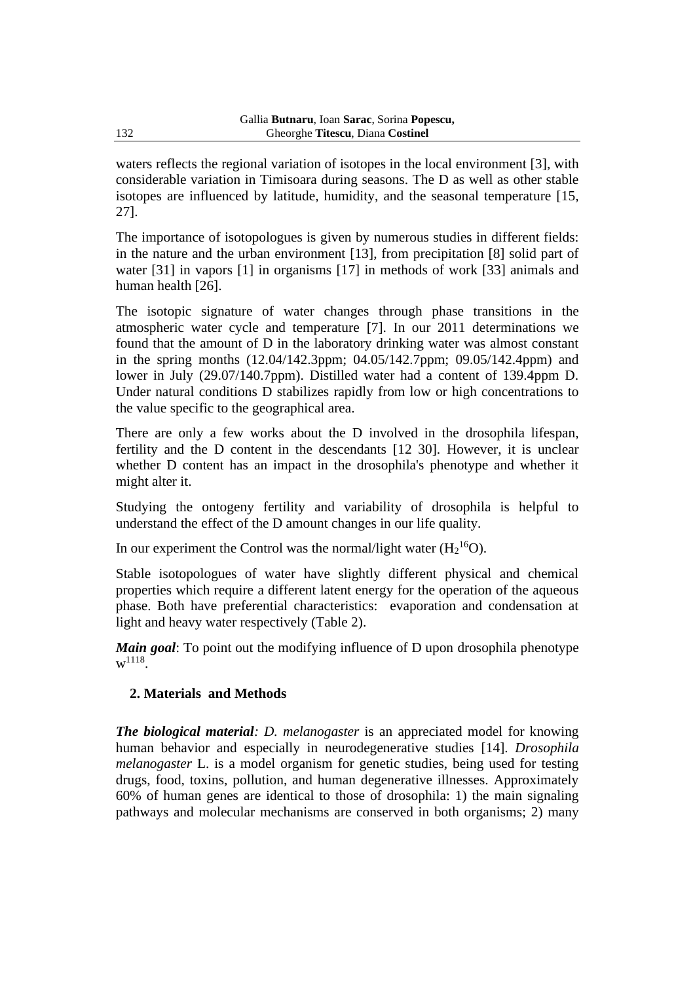waters reflects the regional variation of isotopes in the local environment [3], with considerable variation in Timisoara during seasons. The D as well as other stable isotopes are influenced by latitude, humidity, and the seasonal temperature [15, 27].

The importance of isotopologues is given by numerous studies in different fields: in the nature and the urban environment [13], from precipitation [8] solid part of water [31] in vapors [1] in organisms [17] in methods of work [33] animals and human health [26].

The isotopic signature of water changes through phase transitions in the atmospheric water cycle and temperature [7]. In our 2011 determinations we found that the amount of D in the laboratory drinking water was almost constant in the spring months (12.04/142.3ppm; 04.05/142.7ppm; 09.05/142.4ppm) and lower in July (29.07/140.7ppm). Distilled water had a content of 139.4ppm D. Under natural conditions D stabilizes rapidly from low or high concentrations to the value specific to the geographical area.

There are only a few works about the D involved in the drosophila lifespan, fertility and the D content in the descendants [12 30]. However, it is unclear whether D content has an impact in the drosophila's phenotype and whether it might alter it.

Studying the ontogeny fertility and variability of drosophila is helpful to understand the effect of the D amount changes in our life quality.

In our experiment the Control was the normal/light water  $(H_2^{16}O)$ .

Stable isotopologues of water have slightly different physical and chemical properties which require a different latent energy for the operation of the aqueous phase. Both have preferential characteristics: evaporation and condensation at light and heavy water respectively (Table 2).

*Main goal*: To point out the modifying influence of D upon drosophila phenotype  $w^{1118}$ .

# **2. Materials and Methods**

*The biological material: D. melanogaster* is an appreciated model for knowing human behavior and especially in neurodegenerative studies [14]. *Drosophila melanogaster* L. is a model organism for genetic studies, being used for testing drugs, food, toxins, pollution, and human degenerative illnesses. Approximately 60% of human genes are identical to those of drosophila: 1) the main signaling pathways and molecular mechanisms are conserved in both organisms; 2) many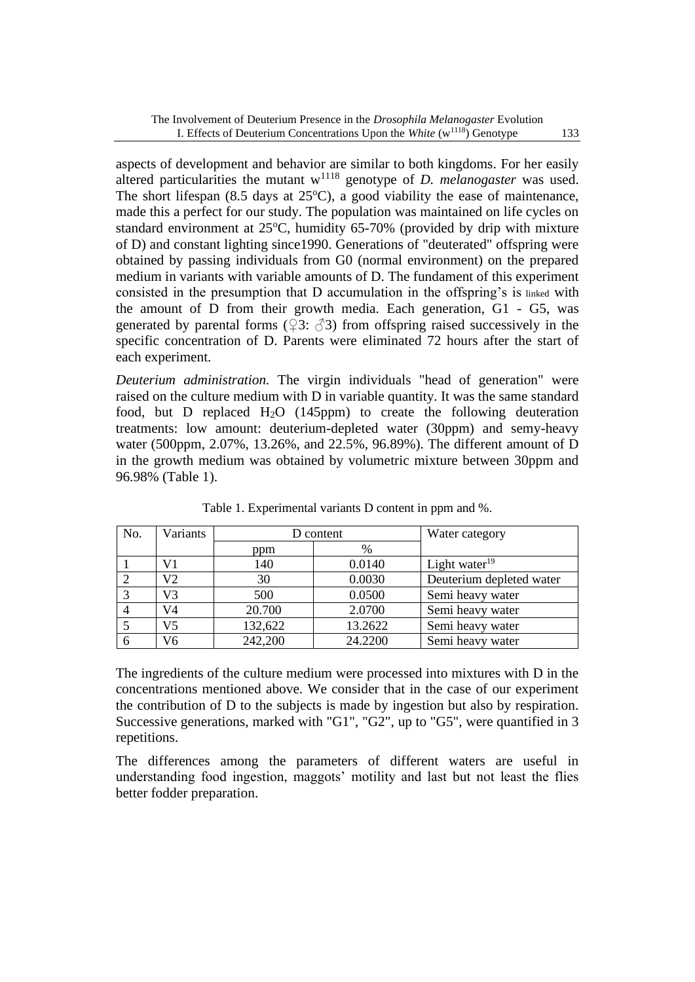aspects of development and behavior are similar to both kingdoms. For her easily altered particularities the mutant w<sup>1118</sup> genotype of *D. melanogaster* was used. The short lifespan  $(8.5 \text{ days at } 25^{\circ}\text{C})$ , a good viability the ease of maintenance, made this a perfect for our study. The population was maintained on life cycles on standard environment at 25°C, humidity 65-70% (provided by drip with mixture of D) and constant lighting since1990. Generations of "deuterated" offspring were obtained by passing individuals from G0 (normal environment) on the prepared medium in variants with variable amounts of D. The fundament of this experiment consisted in the presumption that D accumulation in the offspring's is linked with the amount of D from their growth media. Each generation, G1 - G5, was generated by parental forms ( $\sqrt{3}$ :  $\sqrt{3}$ ) from offspring raised successively in the specific concentration of D. Parents were eliminated 72 hours after the start of each experiment.

*Deuterium administration.* The virgin individuals "head of generation" were raised on the culture medium with D in variable quantity. It was the same standard food, but D replaced  $H_2O$  (145ppm) to create the following deuteration treatments: low amount: deuterium-depleted water (30ppm) and semy-heavy water (500ppm, 2.07%, 13.26%, and 22.5%, 96.89%). The different amount of D in the growth medium was obtained by volumetric mixture between 30ppm and 96.98% (Table 1).

| No.          | Variants |         | D content | Water category           |  |
|--------------|----------|---------|-----------|--------------------------|--|
|              |          | ppm     | $\%$      |                          |  |
|              | V1       | 140     | 0.0140    | Light water $19$         |  |
|              | V2       | 30      | 0.0030    | Deuterium depleted water |  |
| $\mathbf{c}$ | V3       | 500     | 0.0500    | Semi heavy water         |  |
|              | V4       | 20.700  | 2.0700    | Semi heavy water         |  |
|              | V5       | 132,622 | 13.2622   | Semi heavy water         |  |
|              | V6       | 242,200 | 24.2200   | Semi heavy water         |  |

Table 1. Experimental variants D content in ppm and %.

The ingredients of the culture medium were processed into mixtures with D in the concentrations mentioned above. We consider that in the case of our experiment the contribution of D to the subjects is made by ingestion but also by respiration. Successive generations, marked with "G1", "G2", up to "G5", were quantified in 3 repetitions.

The differences among the parameters of different waters are useful in understanding food ingestion, maggots' motility and last but not least the flies better fodder preparation.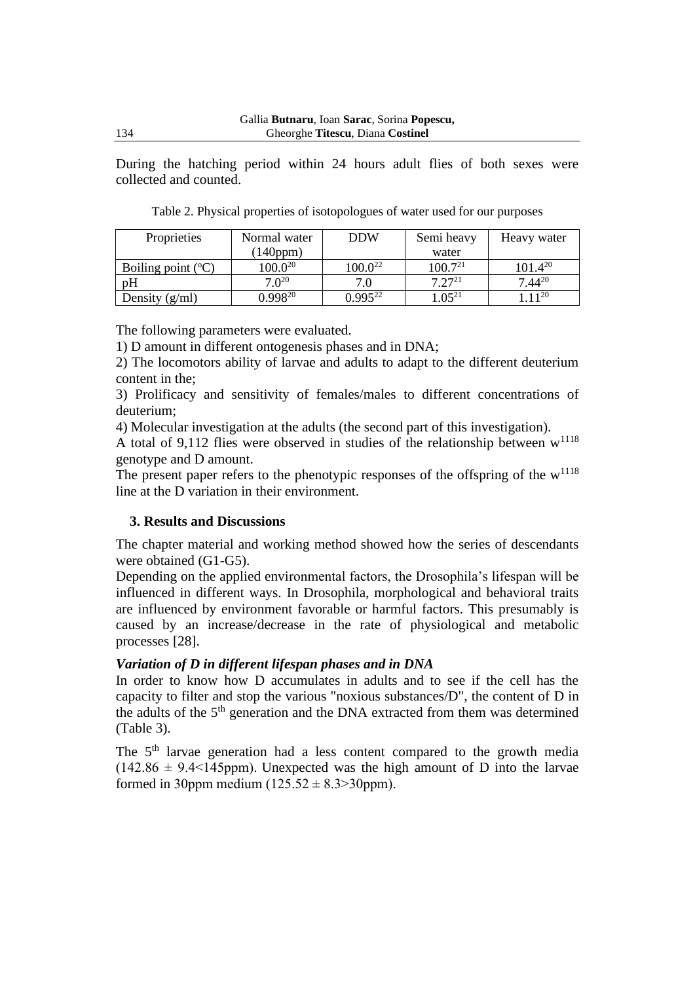During the hatching period within 24 hours adult flies of both sexes were collected and counted.

Table 2. Physical properties of isotopologues of water used for our purposes

| Proprieties                   | Normal water | <b>DDW</b>   | Semi heavy   | Heavy water  |  |
|-------------------------------|--------------|--------------|--------------|--------------|--|
|                               | (140ppm)     |              | water        |              |  |
| Boiling point $({}^{\circ}C)$ | $100.0^{20}$ | $100.0^{22}$ | $100.7^{21}$ | $101.4^{20}$ |  |
| рH                            | $7.0^{20}$   | 7.0          | $7.27^{21}$  | $7.44^{20}$  |  |
| Density $(g/ml)$              | $0.998^{20}$ | $0.995^{22}$ | $.05^{21}$   | $11^{20}$    |  |

The following parameters were evaluated.

1) D amount in different ontogenesis phases and in DNA;

2) The locomotors ability of larvae and adults to adapt to the different deuterium content in the;

3) Prolificacy and sensitivity of females/males to different concentrations of deuterium;

4) Molecular investigation at the adults (the second part of this investigation).

A total of 9,112 flies were observed in studies of the relationship between  $w^{1118}$ genotype and D amount.

The present paper refers to the phenotypic responses of the offspring of the  $w^{1118}$ line at the D variation in their environment.

### **3. Results and Discussions**

The chapter material and working method showed how the series of descendants were obtained (G1-G5).

Depending on the applied environmental factors, the Drosophila's lifespan will be influenced in different ways. In Drosophila, morphological and behavioral traits are influenced by environment favorable or harmful factors. This presumably is caused by an increase/decrease in the rate of physiological and metabolic processes [28].

### *Variation of D in different lifespan phases and in DNA*

In order to know how D accumulates in adults and to see if the cell has the capacity to filter and stop the various "noxious substances/D", the content of D in the adults of the  $5<sup>th</sup>$  generation and the DNA extracted from them was determined (Table 3).

The 5<sup>th</sup> larvae generation had a less content compared to the growth media  $(142.86 \pm 9.4 \le 145$ ppm). Unexpected was the high amount of D into the larvae formed in 30ppm medium  $(125.52 \pm 8.3 > 30$ ppm).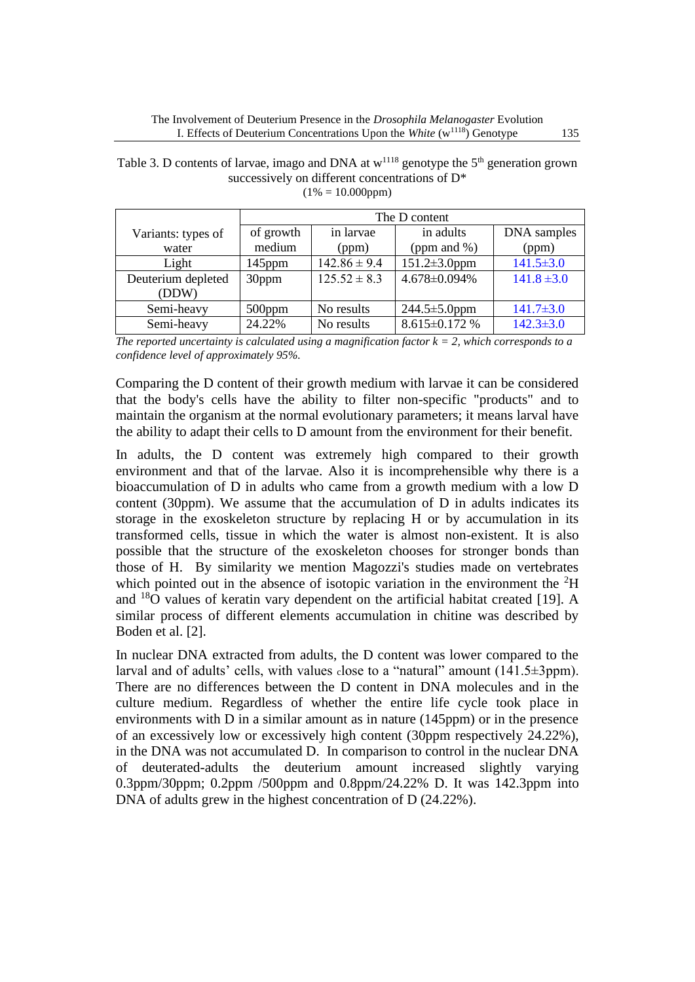|                             | The D content       |                    |                              |                      |  |  |
|-----------------------------|---------------------|--------------------|------------------------------|----------------------|--|--|
| Variants: types of<br>water | of growth<br>medium | in larvae<br>(ppm) | in adults<br>(ppm and $\%$ ) | DNA samples<br>(ppm) |  |  |
| Light                       | $145$ ppm           | $142.86 \pm 9.4$   | $151.2 \pm 3.0$ ppm          | $141.5 \pm 3.0$      |  |  |
| Deuterium depleted<br>(DDW) | 30ppm               | $125.52 \pm 8.3$   | 4.678±0.094%                 | $141.8 \pm 3.0$      |  |  |
| Semi-heavy                  | $500$ ppm           | No results         | $244.5 \pm 5.0$ ppm          | $141.7 \pm 3.0$      |  |  |
| Semi-heavy                  | 24.22%              | No results         | 8.615±0.172 %                | $142.3 \pm 3.0$      |  |  |

Table 3. D contents of larvae, imago and DNA at  $w^{1118}$  genotype the  $5<sup>th</sup>$  generation grown successively on different concentrations of D\*  $(1\% = 10.000$ ppm $)$ 

*The reported uncertainty is calculated using a magnification factor*  $k = 2$ *, which corresponds to a confidence level of approximately 95%.*

Comparing the D content of their growth medium with larvae it can be considered that the body's cells have the ability to filter non-specific "products" and to maintain the organism at the normal evolutionary parameters; it means larval have the ability to adapt their cells to D amount from the environment for their benefit.

In adults, the D content was extremely high compared to their growth environment and that of the larvae. Also it is incomprehensible why there is a bioaccumulation of D in adults who came from a growth medium with a low D content (30ppm). We assume that the accumulation of D in adults indicates its storage in the exoskeleton structure by replacing H or by accumulation in its transformed cells, tissue in which the water is almost non-existent. It is also possible that the structure of the exoskeleton chooses for stronger bonds than those of H. By similarity we mention Magozzi's studies made on vertebrates which pointed out in the absence of isotopic variation in the environment the  ${}^{2}H$ and  $18$ O values of keratin vary dependent on the artificial habitat created [19]. A similar process of different elements accumulation in chitine was described by Boden et al. [2].

In nuclear DNA extracted from adults, the D content was lower compared to the larval and of adults' cells, with values close to a "natural" amount (141.5±3ppm). There are no differences between the D content in DNA molecules and in the culture medium. Regardless of whether the entire life cycle took place in environments with D in a similar amount as in nature (145ppm) or in the presence of an excessively low or excessively high content (30ppm respectively 24.22%), in the DNA was not accumulated D. In comparison to control in the nuclear DNA of deuterated-adults the deuterium amount increased slightly varying 0.3ppm/30ppm; 0.2ppm /500ppm and 0.8ppm/24.22% D. It was 142.3ppm into DNA of adults grew in the highest concentration of D (24.22%).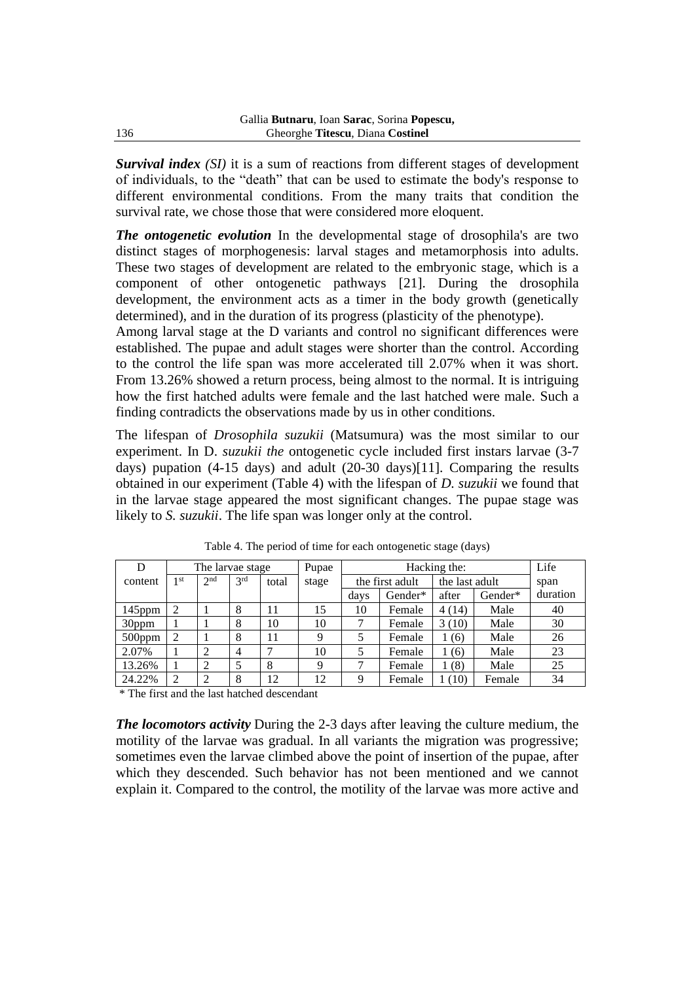*Survival index (SI)* it is a sum of reactions from different stages of development of individuals, to the "death" that can be used to estimate the body's response to different environmental conditions. From the many traits that condition the survival rate, we chose those that were considered more eloquent.

*The ontogenetic evolution* In the developmental stage of drosophila's are two distinct stages of morphogenesis: larval stages and metamorphosis into adults. These two stages of development are related to the embryonic stage, which is a component of other ontogenetic pathways [21]. During the drosophila development, the environment acts as a timer in the body growth (genetically determined), and in the duration of its progress (plasticity of the phenotype).

Among larval stage at the D variants and control no significant differences were established. The pupae and adult stages were shorter than the control. According to the control the life span was more accelerated till 2.07% when it was short. From 13.26% showed a return process, being almost to the normal. It is intriguing how the first hatched adults were female and the last hatched were male. Such a finding contradicts the observations made by us in other conditions.

The lifespan of *Drosophila suzukii* (Matsumura) was the most similar to our experiment. In D. *suzukii the* ontogenetic cycle included first instars larvae (3-7 days) pupation (4-15 days) and adult (20-30 days)[11]. Comparing the results obtained in our experiment (Table 4) with the lifespan of *D. suzukii* we found that in the larvae stage appeared the most significant changes. The pupae stage was likely to *S. suzukii*. The life span was longer only at the control.

| D         | The larvae stage            |                 |     |       | Pupae | Hacking the:    |         |                | Life    |          |
|-----------|-----------------------------|-----------------|-----|-------|-------|-----------------|---------|----------------|---------|----------|
| content   | 1 <sup>st</sup>             | 2 <sub>nd</sub> | 2rd | total | stage | the first adult |         | the last adult |         | span     |
|           |                             |                 |     |       |       | days            | Gender* | after          | Gender* | duration |
| $145$ ppm |                             |                 |     | 11    | 15    | 10              | Female  | 4(14)          | Male    | 40       |
| 30ppm     |                             |                 |     | 10    | 10    |                 | Female  | 3(10)          | Male    | 30       |
| $500$ ppm | 2                           |                 | 8   | 11    | 9     |                 | Female  | (6)            | Male    | 26       |
| 2.07%     |                             | ↑               | 4   |       | 10    |                 | Female  | (6)            | Male    | 23       |
| 13.26%    |                             | $\overline{2}$  |     | 8     | Q     |                 | Female  | 1(8)           | Male    | 25       |
| 24.22%    | $\mathcal{D}_{\mathcal{L}}$ | $\overline{2}$  | 8   | 12    | 12    | റ               | Female  | 1(10)          | Female  | 34       |

Table 4. The period of time for each ontogenetic stage (days)

\* The first and the last hatched descendant

*The locomotors activity* During the 2-3 days after leaving the culture medium, the motility of the larvae was gradual. In all variants the migration was progressive; sometimes even the larvae climbed above the point of insertion of the pupae, after which they descended. Such behavior has not been mentioned and we cannot explain it. Compared to the control, the motility of the larvae was more active and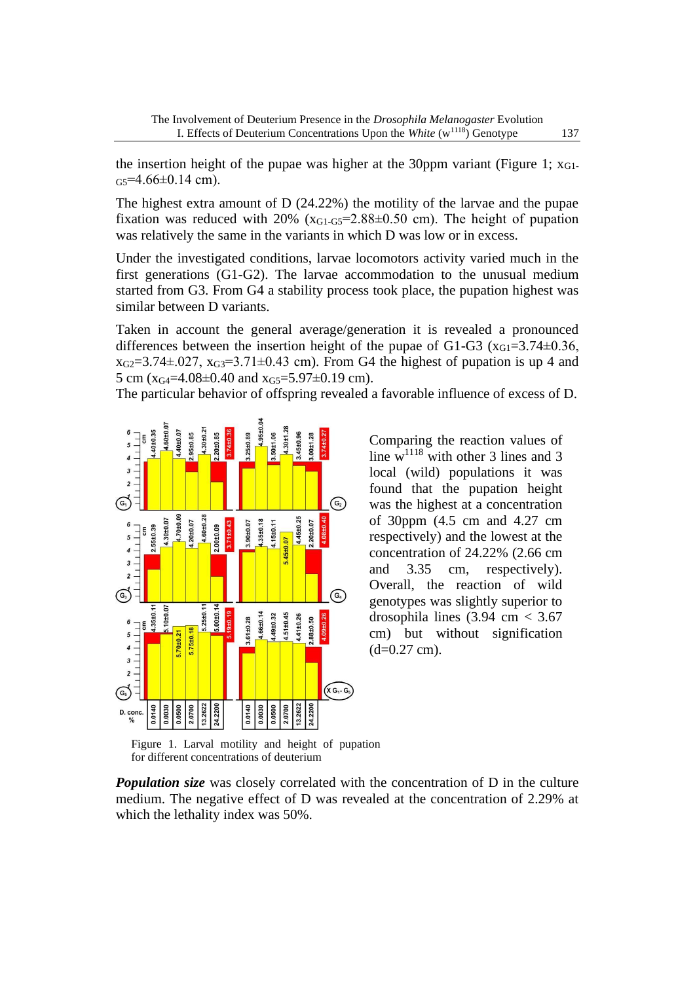the insertion height of the pupae was higher at the 30ppm variant (Figure 1;  $x_{G1}$ )  $G<sub>5</sub>=4.66\pm0.14$  cm).

The highest extra amount of D (24.22%) the motility of the larvae and the pupae fixation was reduced with  $20\%$  (x<sub>G1-G5</sub>=2.88 $\pm$ 0.50 cm). The height of pupation was relatively the same in the variants in which D was low or in excess.

Under the investigated conditions, larvae locomotors activity varied much in the first generations (G1-G2). The larvae accommodation to the unusual medium started from G3. From G4 a stability process took place, the pupation highest was similar between D variants.

Taken in account the general average/generation it is revealed a pronounced differences between the insertion height of the pupae of G1-G3 ( $x_{G1}=3.74\pm0.36$ ,  $x_{G2}=3.74\pm0.27$ ,  $x_{G3}=3.71\pm0.43$  cm). From G4 the highest of pupation is up 4 and 5 cm ( $x_{G4}$ =4.08±0.40 and  $x_{G5}$ =5.97±0.19 cm).

The particular behavior of offspring revealed a favorable influence of excess of D.



Comparing the reaction values of line  $w^{1118}$  with other 3 lines and 3 local (wild) populations it was found that the pupation height was the highest at a concentration of 30ppm (4.5 cm and 4.27 cm respectively) and the lowest at the concentration of 24.22% (2.66 cm and 3.35 cm, respectively). Overall, the reaction of wild genotypes was slightly superior to drosophila lines  $(3.94 \text{ cm} < 3.67)$ cm) but without signification  $(d=0.27$  cm).

Figure 1. Larval motility and height of pupation for different concentrations of deuterium

*Population size* was closely correlated with the concentration of D in the culture medium. The negative effect of D was revealed at the concentration of 2.29% at which the lethality index was 50%.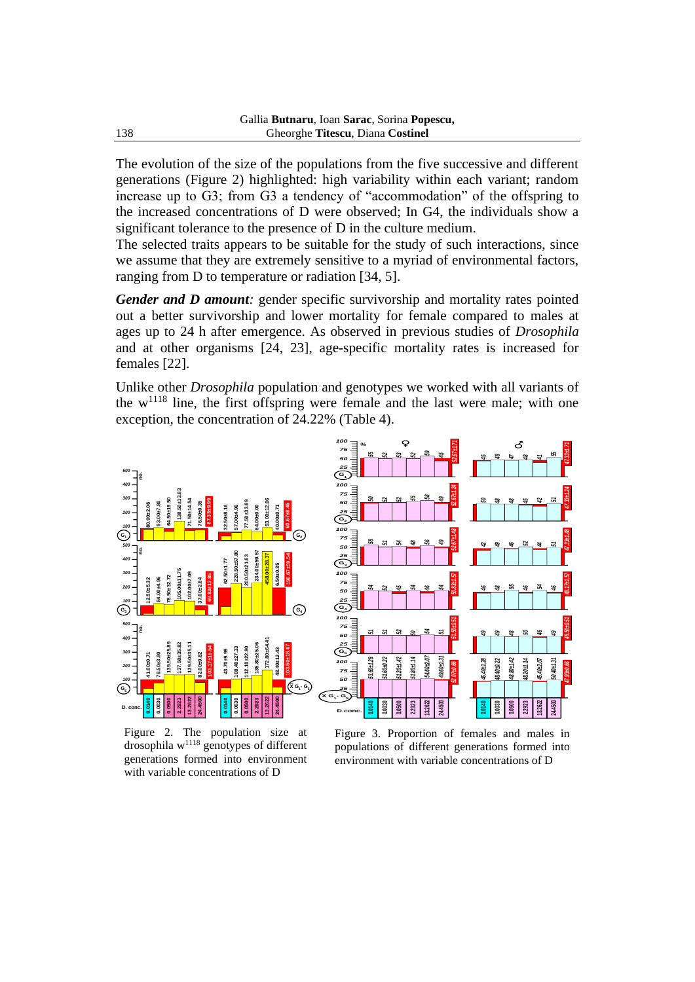The evolution of the size of the populations from the five successive and different generations (Figure 2) highlighted: high variability within each variant; random increase up to G3; from G3 a tendency of "accommodation" of the offspring to the increased concentrations of D were observed; In G4, the individuals show a significant tolerance to the presence of D in the culture medium.

The selected traits appears to be suitable for the study of such interactions, since we assume that they are extremely sensitive to a myriad of environmental factors, ranging from D to temperature or radiation [34, 5].

*Gender and D amount:* gender specific survivorship and mortality rates pointed out a better survivorship and lower mortality for female compared to males at ages up to 24 h after emergence. As observed in previous studies of *Drosophila* and at other organisms [24, 23], age-specific mortality rates is increased for females [22].

Unlike other *Drosophila* population and genotypes we worked with all variants of the  $w^{1118}$  line, the first offspring were female and the last were male; with one exception, the concentration of 24.22% (Table 4).



Figure 2. The population size at drosophila w<sup>1118</sup> genotypes of different generations formed into environment with variable concentrations of D

Figure 3. Proportion of females and males in populations of different generations formed into environment with variable concentrations of D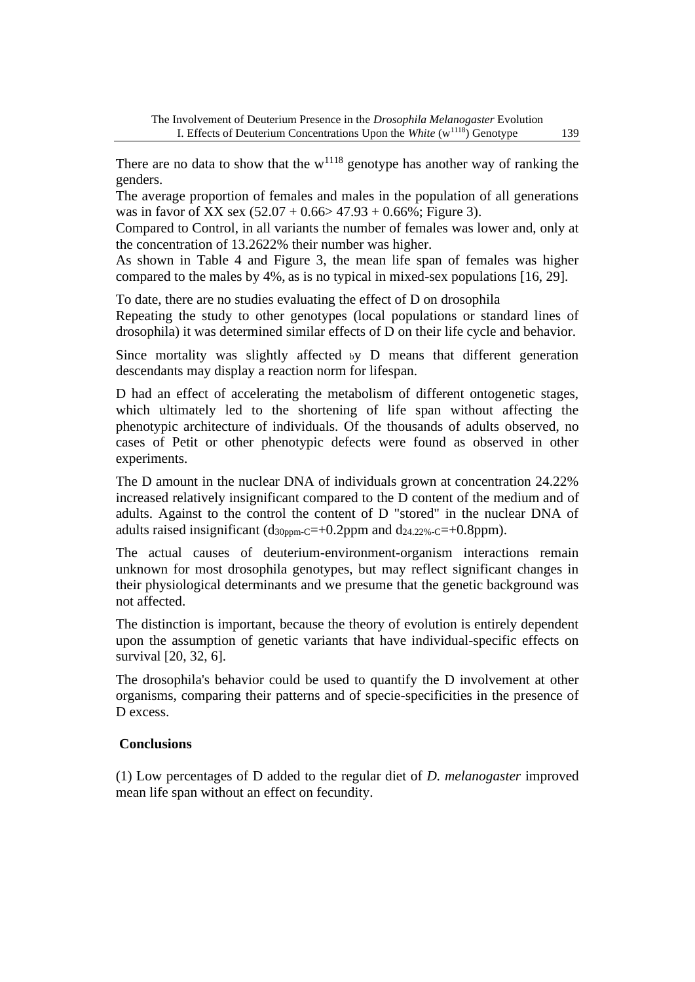There are no data to show that the  $w^{1118}$  genotype has another way of ranking the genders.

The average proportion of females and males in the population of all generations was in favor of XX sex  $(52.07 + 0.66 > 47.93 + 0.66\%$ ; Figure 3).

Compared to Control, in all variants the number of females was lower and, only at the concentration of 13.2622% their number was higher.

As shown in Table 4 and Figure 3, the mean life span of females was higher compared to the males by 4%, as is no typical in mixed-sex populations [16, 29].

To date, there are no studies evaluating the effect of D on drosophila

Repeating the study to other genotypes (local populations or standard lines of drosophila) it was determined similar effects of D on their life cycle and behavior.

Since mortality was slightly affected <sup>b</sup>y D means that different generation descendants may display a reaction norm for lifespan.

D had an effect of accelerating the metabolism of different ontogenetic stages, which ultimately led to the shortening of life span without affecting the phenotypic architecture of individuals. Of the thousands of adults observed, no cases of Petit or other phenotypic defects were found as observed in other experiments.

The D amount in the nuclear DNA of individuals grown at concentration 24.22% increased relatively insignificant compared to the D content of the medium and of adults. Against to the control the content of D "stored" in the nuclear DNA of adults raised insignificant  $(d_{30\text{ppm-C}}=+0.2 \text{ppm}$  and  $d_{24.22\%-C}=+0.8 \text{ppm}$ ).

The actual causes of deuterium-environment-organism interactions remain unknown for most drosophila genotypes, but may reflect significant changes in their physiological determinants and we presume that the genetic background was not affected.

The distinction is important, because the theory of evolution is entirely dependent upon the assumption of genetic variants that have individual-specific effects on survival [20, 32, 6].

The drosophila's behavior could be used to quantify the D involvement at other organisms, comparing their patterns and of specie-specificities in the presence of D excess.

### **Conclusions**

(1) Low percentages of D added to the regular diet of *D. melanogaster* improved mean life span without an effect on fecundity.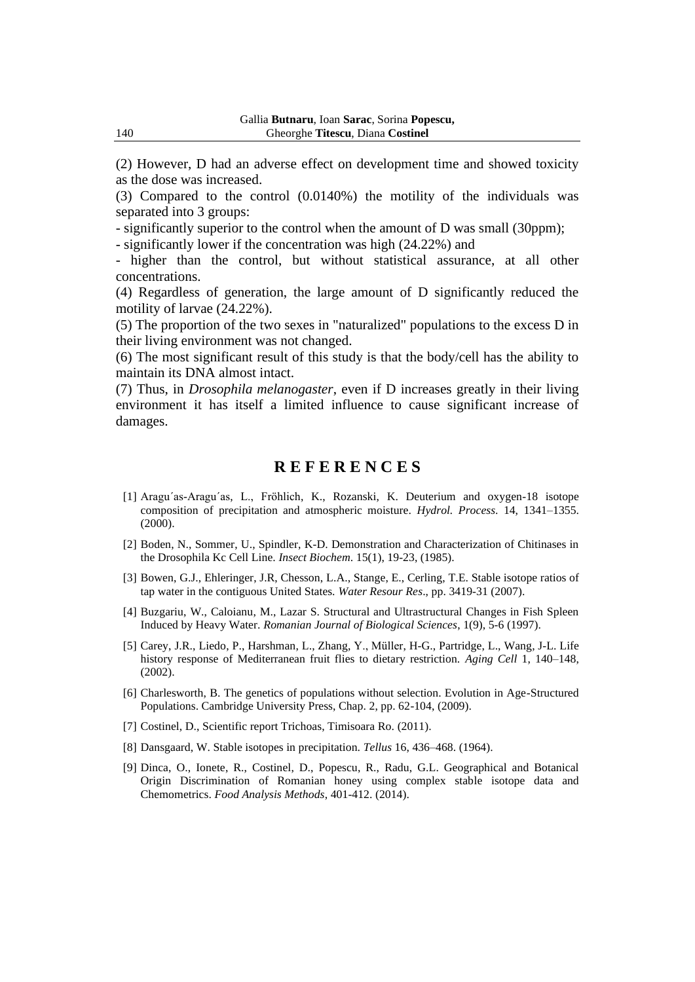(2) However, D had an adverse effect on development time and showed toxicity as the dose was increased.

(3) Compared to the control (0.0140%) the motility of the individuals was separated into 3 groups:

- significantly superior to the control when the amount of D was small (30ppm);

- significantly lower if the concentration was high (24.22%) and

- higher than the control, but without statistical assurance, at all other concentrations.

(4) Regardless of generation, the large amount of D significantly reduced the motility of larvae (24.22%).

(5) The proportion of the two sexes in "naturalized" populations to the excess D in their living environment was not changed.

(6) The most significant result of this study is that the body/cell has the ability to maintain its DNA almost intact.

(7) Thus, in *Drosophila melanogaster*, even if D increases greatly in their living environment it has itself a limited influence to cause significant increase of damages.

## **R E F E R E N C E S**

- [1] Aragu´as-Aragu´as, L., Fröhlich, K., Rozanski, K. Deuterium and oxygen-18 isotope composition of precipitation and atmospheric moisture. *Hydrol. Process*. 14, 1341–1355. (2000).
- [2] Boden, N., Sommer, U., Spindler, K-D. Demonstration and Characterization of Chitinases in the Drosophila Kc Cell Line. *Insect Biochem*. 15(1), 19-23, (1985).
- [3] Bowen, G.J., Ehleringer, J.R, Chesson, L.A., Stange, E., Cerling, T.E. Stable isotope ratios of tap water in the contiguous United States. *Water Resour Res*., pp. 3419-31 (2007).
- [4] Buzgariu, W., Caloianu, M., Lazar S. Structural and Ultrastructural Changes in Fish Spleen Induced by Heavy Water. *Romanian Journal of Biological Sciences*, 1(9), 5-6 (1997).
- [5] Carey, J.R., Liedo, P., Harshman, L., Zhang, Y., Müller, H-G., Partridge, L., Wang, J-L. Life history response of Mediterranean fruit flies to dietary restriction. *Aging Cell* 1, 140–148, (2002).
- [6] [Charlesworth,](https://www.cambridge.org/core/search?filters%5BauthorTerms%5D=Brian%20Charlesworth&eventCode=SE-AU) B. The genetics of populations without selection. Evolution in Age-Structured Populations. Cambridge University Press, Chap. 2, pp. 62-104, (2009).
- [7] Costinel, D., Scientific report Trichoas, Timisoara Ro. (2011).
- [8] Dansgaard, W. Stable isotopes in precipitation. *Tellus* 16, 436–468. (1964).
- [9] Dinca, O., Ionete, R., Costinel, D., Popescu, R., Radu, G.L. Geographical and Botanical Origin Discrimination of Romanian honey using complex stable isotope data and Chemometrics. *Food Analysis Methods*, 401-412. (2014).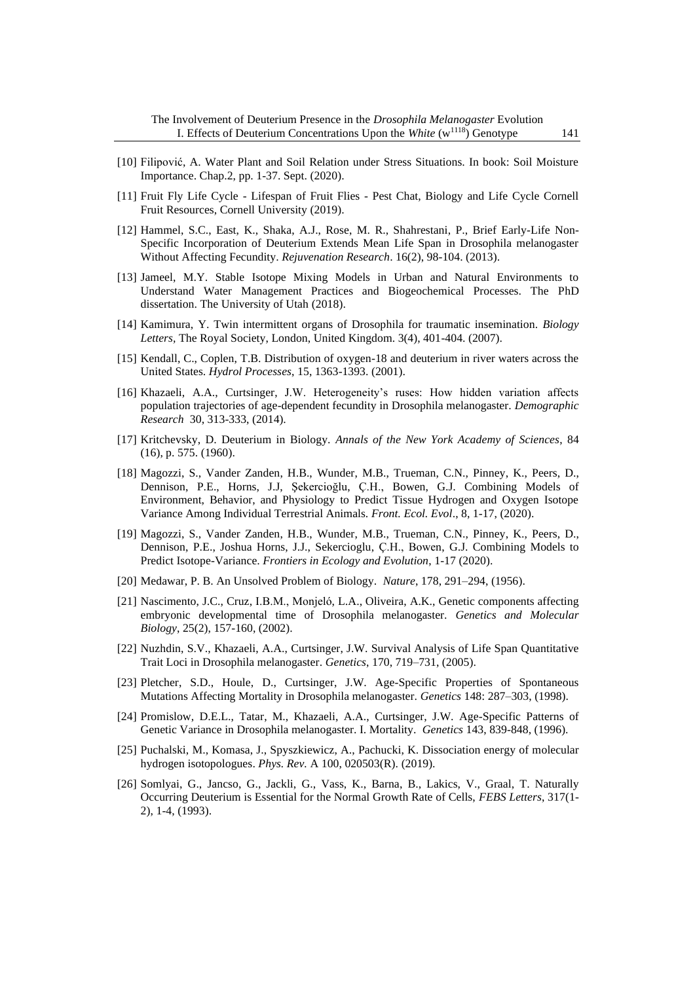- [10] Filipović, A. Water Plant and Soil Relation under Stress Situations. In book: Soil Moisture Importance. Chap.2, pp. 1-37. Sept. (2020).
- [11] Fruit Fly Life Cycle Lifespan of Fruit Flies Pest Chat, Biology and Life Cycle Cornell Fruit Resources, Cornell University (2019).
- [12] Hammel, S.C., East, K., Shaka, A.J., Rose, M. R., Shahrestani, P., Brief Early-Life Non-Specific Incorporation of Deuterium Extends Mean Life Span in Drosophila melanogaster Without Affecting Fecundity. *Rejuvenation Research*. 16(2), 98-104. (2013).
- [13] Jameel, M.Y. Stable Isotope Mixing Models in Urban and Natural Environments to Understand Water Management Practices and Biogeochemical Processes. The PhD dissertation. The University of Utah (2018).
- [14] Kamimura, Y. Twin intermittent organs of Drosophila for traumatic insemination. *Biology Letters,* The Royal Society, London, United Kingdom. 3(4), 401-404. (2007).
- [15] Kendall, C., Coplen, T.B. Distribution of oxygen-18 and deuterium in river waters across the United States. *Hydrol Processes*, 15, 1363-1393. (2001).
- [16] Khazaeli, A.A., Curtsinger, J.W. Heterogeneity's ruses: How hidden variation affects population trajectories of age-dependent fecundity in Drosophila melanogaster. *Demographic Research* 30, 313-333, (2014).
- [17] Kritchevsky, D. Deuterium in Biology. *Annals of the New York Academy of Sciences*, 84 (16), p. 575. (1960).
- [18] [Magozzi,](https://www.frontiersin.org/people/u/698765) S., [Vander Zanden,](https://www.frontiersin.org/people/u/227861) H.B., [Wunder,](https://www.frontiersin.org/people/u/912541) M.B., [Trueman,](https://www.frontiersin.org/people/u/132650) C.N., Pinney, K., Peers, D., [Dennison,](https://www.frontiersin.org/people/u/681664) P.E., Horns, J.J, [Şekercioğlu,](https://www.frontiersin.org/people/u/770117) Ç.H., [Bowen,](https://www.frontiersin.org/people/u/1107640) G.J. Combining Models of Environment, Behavior, and Physiology to Predict Tissue Hydrogen and Oxygen Isotope Variance Among Individual Terrestrial Animals. *Front. Ecol. Evol*., 8, 1-17, (2020).
- [19] Magozzi, S., Vander Zanden, H.B., Wunder, M.B., Trueman, C.N., Pinney, K., Peers, D., Dennison, P.E., Joshua Horns, J.J., Sekercioglu, Ç.H., Bowen, G.J. Combining Models to Predict Isotope-Variance. *Frontiers in Ecology and Evolution*, 1-17 (2020).
- [20] Medawar, P. B. An Unsolved Problem of Biology. *[Nature](https://www.nature.com/)*, 178, 291–294, (1956).
- [21] Nascimento, J.C., Cruz, I.B.M., Monjeló, L.A., Oliveira, A.K., Genetic components affecting embryonic developmental time of Drosophila melanogaster. *Genetics and Molecular Biology*, 25(2), 157-160, (2002).
- [22] [Nuzhdin,](https://scholar.google.ro/citations?user=YdjmOn0AAAAJ&hl=ro&oi=sra) S.V., Khazaeli, A.A., [Curtsinger,](https://scholar.google.ro/citations?user=v0gn6NEAAAAJ&hl=ro&oi=sra) J.W. [Survival Analysis of Life Span Quantitative](https://academic.oup.com/genetics/article-abstract/170/2/719/6059297)  [Trait Loci in Drosophila melanogaster.](https://academic.oup.com/genetics/article-abstract/170/2/719/6059297) *Genetics*, 170, 719–731, (2005).
- [23] Pletcher, S.D., Houle, D., Curtsinger, J.W. Age-Specific Properties of Spontaneous Mutations Affecting Mortality in Drosophila melanogaster. *Genetics* 148: 287–303, (1998).
- [24] Promislow, D.E.L., Tatar, M., Khazaeli, A.A., Curtsinger, J.W. Age-Specific Patterns of Genetic Variance in Drosophila melanogaster. I. Mortality. *Genetics* 143, 839-848, (1996).
- [25] Puchalski, M., Komasa, J., Spyszkiewicz, A., Pachucki, K. Dissociation energy of molecular hydrogen isotopologues. *Phys. Rev.* A 100, 020503(R). (2019).
- [26] Somlyai, G., Jancso, G., Jackli, G., Vass, K., Barna, B., Lakics, V., Graal, T. Naturally Occurring Deuterium is Essential for the Normal Growth Rate of Cells, *FEBS Letters*, 317(1- 2), 1-4, (1993).